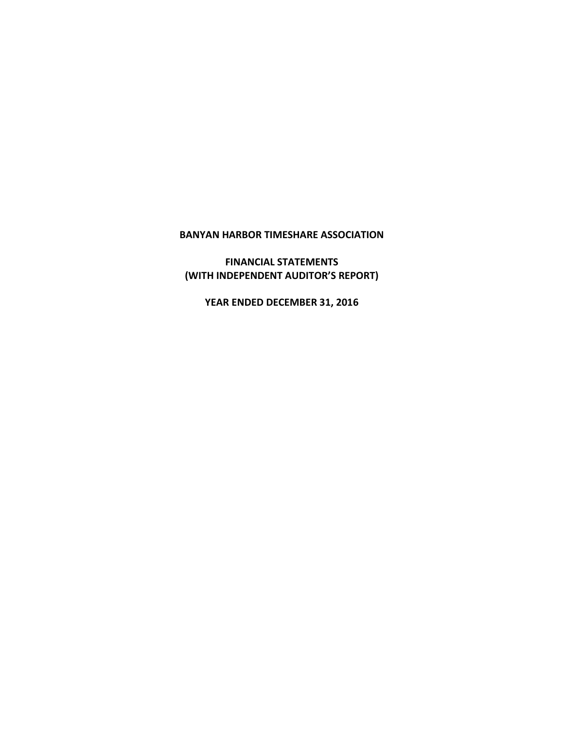# **BANYAN HARBOR TIMESHARE ASSOCIATION**

**FINANCIAL STATEMENTS (WITH INDEPENDENT AUDITOR'S REPORT)**

**YEAR ENDED DECEMBER 31, 2016**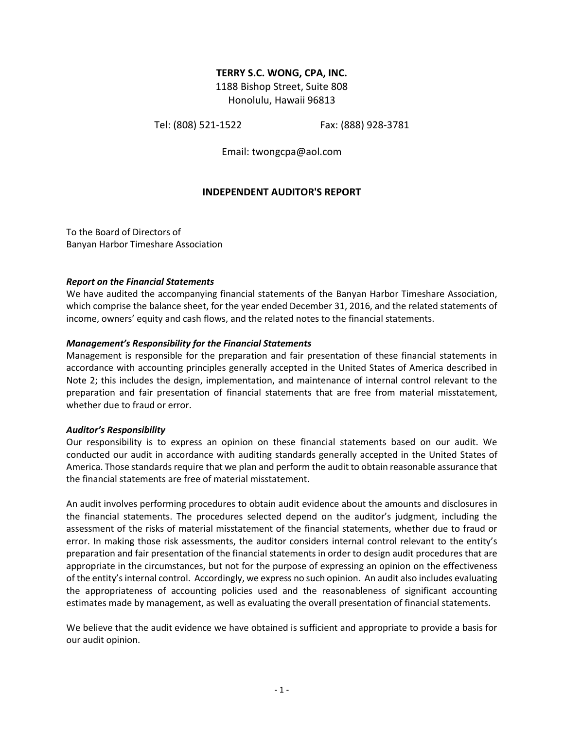### **TERRY S.C. WONG, CPA, INC.**

1188 Bishop Street, Suite 808 Honolulu, Hawaii 96813

Tel: (808) 521-1522 Fax: (888) 928-3781

Email: twongcpa@aol.com

## **INDEPENDENT AUDITOR'S REPORT**

To the Board of Directors of Banyan Harbor Timeshare Association

#### *Report on the Financial Statements*

We have audited the accompanying financial statements of the Banyan Harbor Timeshare Association, which comprise the balance sheet, for the year ended December 31, 2016, and the related statements of income, owners' equity and cash flows, and the related notes to the financial statements.

#### *Management's Responsibility for the Financial Statements*

Management is responsible for the preparation and fair presentation of these financial statements in accordance with accounting principles generally accepted in the United States of America described in Note 2; this includes the design, implementation, and maintenance of internal control relevant to the preparation and fair presentation of financial statements that are free from material misstatement, whether due to fraud or error.

#### *Auditor's Responsibility*

Our responsibility is to express an opinion on these financial statements based on our audit. We conducted our audit in accordance with auditing standards generally accepted in the United States of America. Those standards require that we plan and perform the audit to obtain reasonable assurance that the financial statements are free of material misstatement.

An audit involves performing procedures to obtain audit evidence about the amounts and disclosures in the financial statements. The procedures selected depend on the auditor's judgment, including the assessment of the risks of material misstatement of the financial statements, whether due to fraud or error. In making those risk assessments, the auditor considers internal control relevant to the entity's preparation and fair presentation of the financial statements in order to design audit procedures that are appropriate in the circumstances, but not for the purpose of expressing an opinion on the effectiveness of the entity's internal control. Accordingly, we express no such opinion. An audit also includes evaluating the appropriateness of accounting policies used and the reasonableness of significant accounting estimates made by management, as well as evaluating the overall presentation of financial statements.

We believe that the audit evidence we have obtained is sufficient and appropriate to provide a basis for our audit opinion.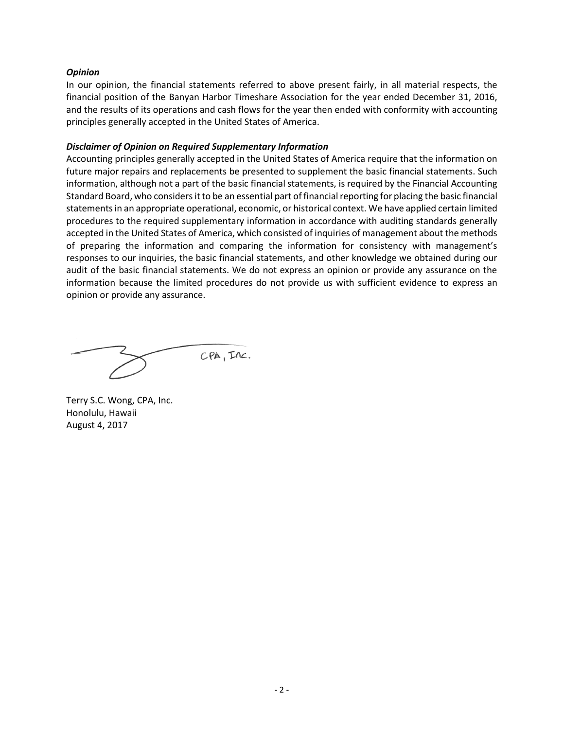#### *Opinion*

In our opinion, the financial statements referred to above present fairly, in all material respects, the financial position of the Banyan Harbor Timeshare Association for the year ended December 31, 2016, and the results of its operations and cash flows for the year then ended with conformity with accounting principles generally accepted in the United States of America.

#### *Disclaimer of Opinion on Required Supplementary Information*

Accounting principles generally accepted in the United States of America require that the information on future major repairs and replacements be presented to supplement the basic financial statements. Such information, although not a part of the basic financial statements, is required by the Financial Accounting Standard Board, who considers it to be an essential part of financial reporting for placing the basic financial statements in an appropriate operational, economic, or historical context. We have applied certain limited procedures to the required supplementary information in accordance with auditing standards generally accepted in the United States of America, which consisted of inquiries of management about the methods of preparing the information and comparing the information for consistency with management's responses to our inquiries, the basic financial statements, and other knowledge we obtained during our audit of the basic financial statements. We do not express an opinion or provide any assurance on the information because the limited procedures do not provide us with sufficient evidence to express an opinion or provide any assurance.

 $CPA$ ,  $TAC$ .

Terry S.C. Wong, CPA, Inc. Honolulu, Hawaii August 4, 2017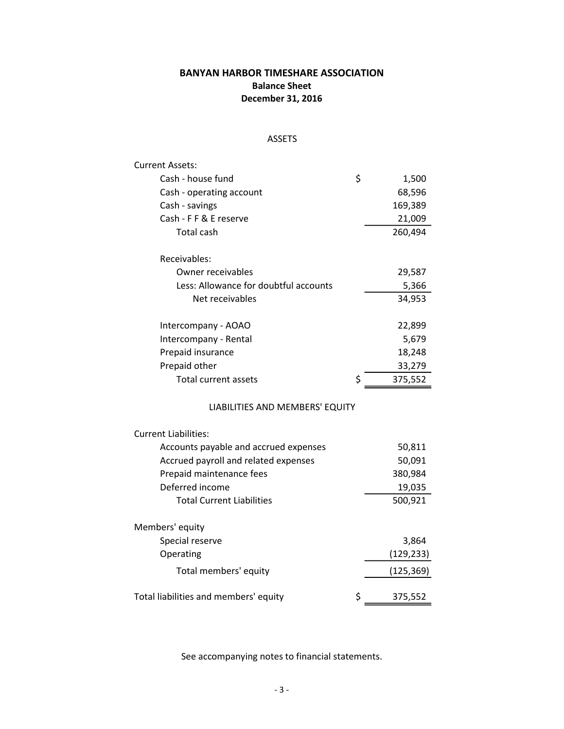# **BANYAN HARBOR TIMESHARE ASSOCIATION Balance Sheet December 31, 2016**

## ASSETS

| <b>Current Assets:</b>                      |             |
|---------------------------------------------|-------------|
| Cash - house fund                           | \$<br>1,500 |
| Cash - operating account                    | 68,596      |
| Cash - savings                              | 169,389     |
| Cash - F F & E reserve                      | 21,009      |
| <b>Total cash</b>                           | 260,494     |
| Receivables:                                |             |
| Owner receivables                           | 29,587      |
| Less: Allowance for doubtful accounts       | 5,366       |
| Net receivables                             | 34,953      |
| Intercompany - AOAO                         | 22,899      |
| Intercompany - Rental                       | 5,679       |
| Prepaid insurance                           | 18,248      |
| Prepaid other                               | 33,279      |
| \$<br><b>Total current assets</b>           | 375,552     |
| LIABILITIES AND MEMBERS' EQUITY             |             |
| <b>Current Liabilities:</b>                 |             |
| Accounts payable and accrued expenses       | 50,811      |
| Accrued payroll and related expenses        | 50,091      |
| Prepaid maintenance fees                    | 380,984     |
| Deferred income                             | 19,035      |
| <b>Total Current Liabilities</b>            | 500,921     |
| Members' equity                             |             |
| Special reserve                             | 3,864       |
| Operating                                   | (129, 233)  |
| Total members' equity                       | (125, 369)  |
| \$<br>Total liabilities and members' equity | 375,552     |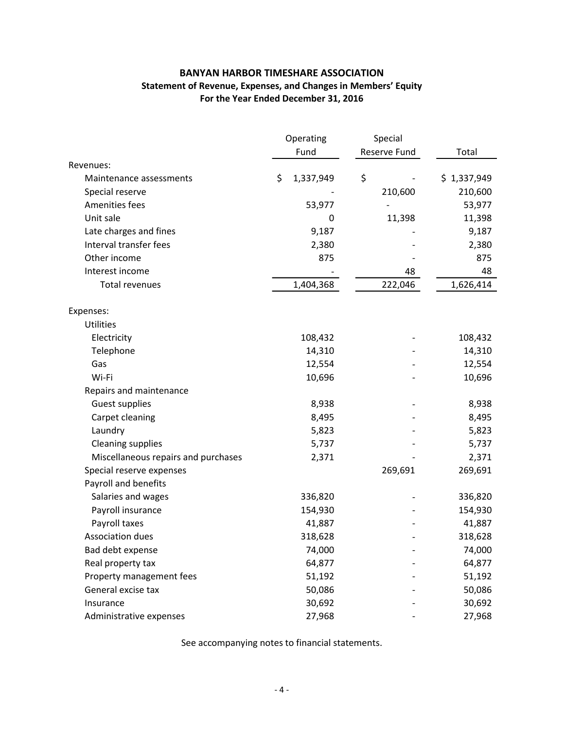## **BANYAN HARBOR TIMESHARE ASSOCIATION Statement of Revenue, Expenses, and Changes in Members' Equity For the Year Ended December 31, 2016**

|                                     | Operating |           | Special      |             |  |
|-------------------------------------|-----------|-----------|--------------|-------------|--|
|                                     |           | Fund      | Reserve Fund | Total       |  |
| Revenues:                           |           |           |              |             |  |
| Maintenance assessments             | \$        | 1,337,949 | \$           | \$1,337,949 |  |
| Special reserve                     |           |           | 210,600      | 210,600     |  |
| Amenities fees                      |           | 53,977    |              | 53,977      |  |
| Unit sale                           |           | 0         | 11,398       | 11,398      |  |
| Late charges and fines              |           | 9,187     |              | 9,187       |  |
| Interval transfer fees              |           | 2,380     |              | 2,380       |  |
| Other income                        |           | 875       |              | 875         |  |
| Interest income                     |           |           | 48           | 48          |  |
| <b>Total revenues</b>               |           | 1,404,368 | 222,046      | 1,626,414   |  |
| Expenses:                           |           |           |              |             |  |
| <b>Utilities</b>                    |           |           |              |             |  |
| Electricity                         |           | 108,432   |              | 108,432     |  |
| Telephone                           |           | 14,310    |              | 14,310      |  |
| Gas                                 |           | 12,554    |              | 12,554      |  |
| Wi-Fi                               |           | 10,696    |              | 10,696      |  |
| Repairs and maintenance             |           |           |              |             |  |
| Guest supplies                      |           | 8,938     |              | 8,938       |  |
| Carpet cleaning                     |           | 8,495     |              | 8,495       |  |
| Laundry                             |           | 5,823     |              | 5,823       |  |
| <b>Cleaning supplies</b>            |           | 5,737     |              | 5,737       |  |
| Miscellaneous repairs and purchases |           | 2,371     |              | 2,371       |  |
| Special reserve expenses            |           |           | 269,691      | 269,691     |  |
| Payroll and benefits                |           |           |              |             |  |
| Salaries and wages                  |           | 336,820   |              | 336,820     |  |
| Payroll insurance                   |           | 154,930   |              | 154,930     |  |
| Payroll taxes                       |           | 41,887    |              | 41,887      |  |
| Association dues                    |           | 318,628   |              | 318,628     |  |
| Bad debt expense                    |           | 74,000    |              | 74,000      |  |
| Real property tax                   |           | 64,877    |              | 64,877      |  |
| Property management fees            |           | 51,192    |              | 51,192      |  |
| General excise tax                  |           | 50,086    |              | 50,086      |  |
| Insurance                           |           | 30,692    |              | 30,692      |  |
| Administrative expenses             |           | 27,968    |              | 27,968      |  |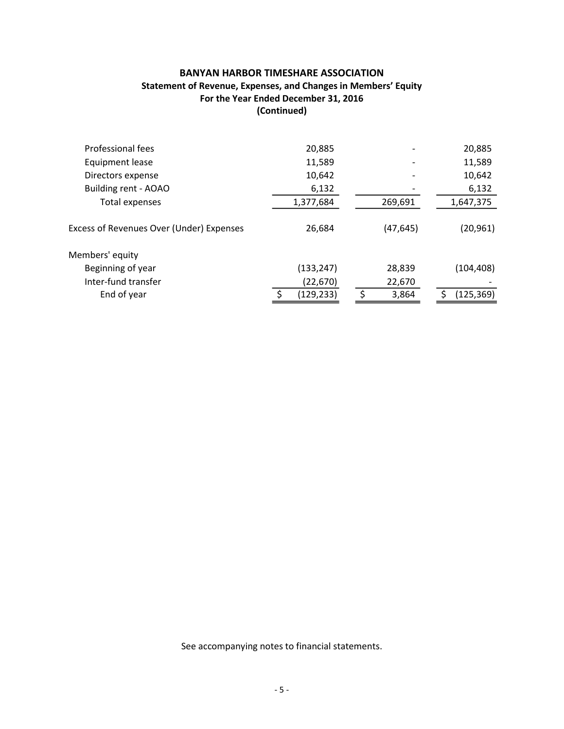## **BANYAN HARBOR TIMESHARE ASSOCIATION Statement of Revenue, Expenses, and Changes in Members' Equity For the Year Ended December 31, 2016 (Continued)**

| 20,885     |           | 20,885     |
|------------|-----------|------------|
| 11,589     |           | 11,589     |
| 10,642     |           | 10,642     |
| 6,132      |           | 6,132      |
| 1,377,684  | 269,691   | 1,647,375  |
| 26,684     | (47, 645) | (20, 961)  |
|            |           |            |
| (133, 247) | 28,839    | (104, 408) |
| (22, 670)  | 22,670    |            |
| (129, 233) | 3,864     | (125, 369) |
|            |           |            |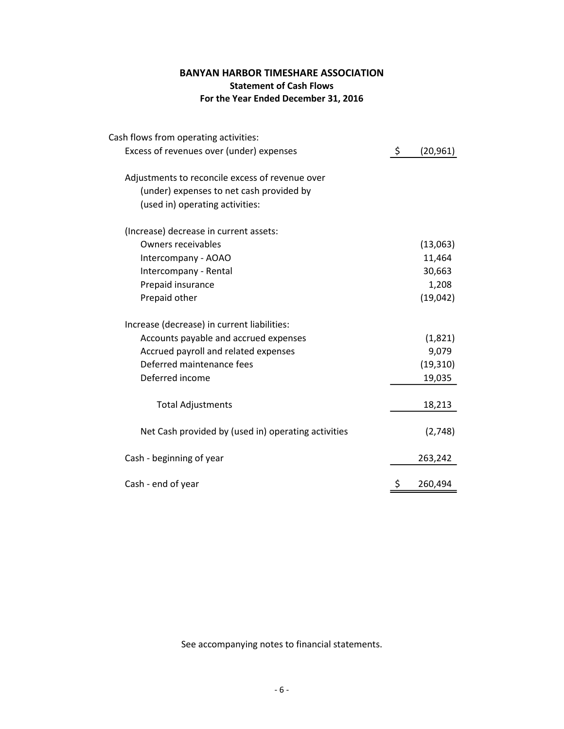# **BANYAN HARBOR TIMESHARE ASSOCIATION Statement of Cash Flows For the Year Ended December 31, 2016**

| Cash flows from operating activities:               |                 |
|-----------------------------------------------------|-----------------|
| Excess of revenues over (under) expenses            | \$<br>(20, 961) |
| Adjustments to reconcile excess of revenue over     |                 |
| (under) expenses to net cash provided by            |                 |
| (used in) operating activities:                     |                 |
| (Increase) decrease in current assets:              |                 |
| <b>Owners receivables</b>                           | (13,063)        |
| Intercompany - AOAO                                 | 11,464          |
| Intercompany - Rental                               | 30,663          |
| Prepaid insurance                                   | 1,208           |
| Prepaid other                                       | (19,042)        |
| Increase (decrease) in current liabilities:         |                 |
| Accounts payable and accrued expenses               | (1,821)         |
| Accrued payroll and related expenses                | 9,079           |
| Deferred maintenance fees                           | (19, 310)       |
| Deferred income                                     | 19,035          |
| <b>Total Adjustments</b>                            | 18,213          |
| Net Cash provided by (used in) operating activities | (2,748)         |
| Cash - beginning of year                            | 263,242         |
| Cash - end of year                                  | \$<br>260,494   |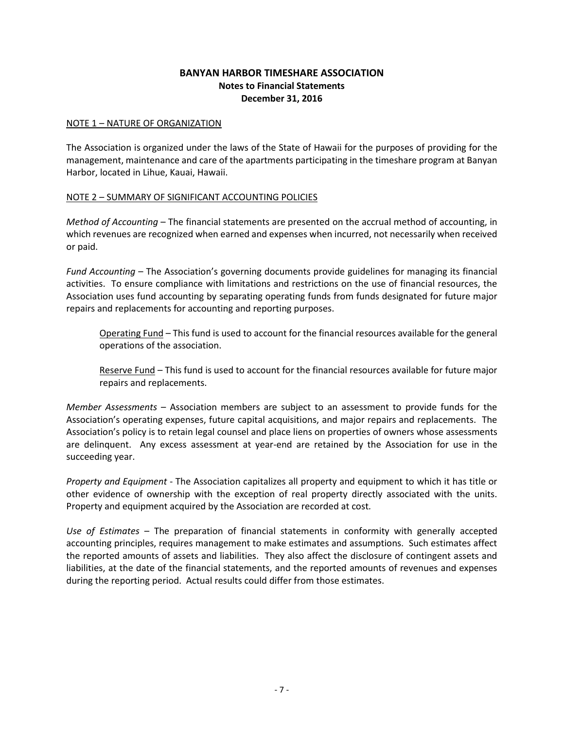## **BANYAN HARBOR TIMESHARE ASSOCIATION Notes to Financial Statements December 31, 2016**

#### NOTE 1 – NATURE OF ORGANIZATION

The Association is organized under the laws of the State of Hawaii for the purposes of providing for the management, maintenance and care of the apartments participating in the timeshare program at Banyan Harbor, located in Lihue, Kauai, Hawaii.

### NOTE 2 – SUMMARY OF SIGNIFICANT ACCOUNTING POLICIES

*Method of Accounting* – The financial statements are presented on the accrual method of accounting, in which revenues are recognized when earned and expenses when incurred, not necessarily when received or paid.

*Fund Accounting* – The Association's governing documents provide guidelines for managing its financial activities. To ensure compliance with limitations and restrictions on the use of financial resources, the Association uses fund accounting by separating operating funds from funds designated for future major repairs and replacements for accounting and reporting purposes.

Operating Fund – This fund is used to account for the financial resources available for the general operations of the association.

Reserve Fund – This fund is used to account for the financial resources available for future major repairs and replacements.

*Member Assessments* – Association members are subject to an assessment to provide funds for the Association's operating expenses, future capital acquisitions, and major repairs and replacements. The Association's policy is to retain legal counsel and place liens on properties of owners whose assessments are delinquent. Any excess assessment at year-end are retained by the Association for use in the succeeding year.

*Property and Equipment* - The Association capitalizes all property and equipment to which it has title or other evidence of ownership with the exception of real property directly associated with the units. Property and equipment acquired by the Association are recorded at cost*.*

*Use of Estimates* – The preparation of financial statements in conformity with generally accepted accounting principles, requires management to make estimates and assumptions. Such estimates affect the reported amounts of assets and liabilities. They also affect the disclosure of contingent assets and liabilities, at the date of the financial statements, and the reported amounts of revenues and expenses during the reporting period. Actual results could differ from those estimates.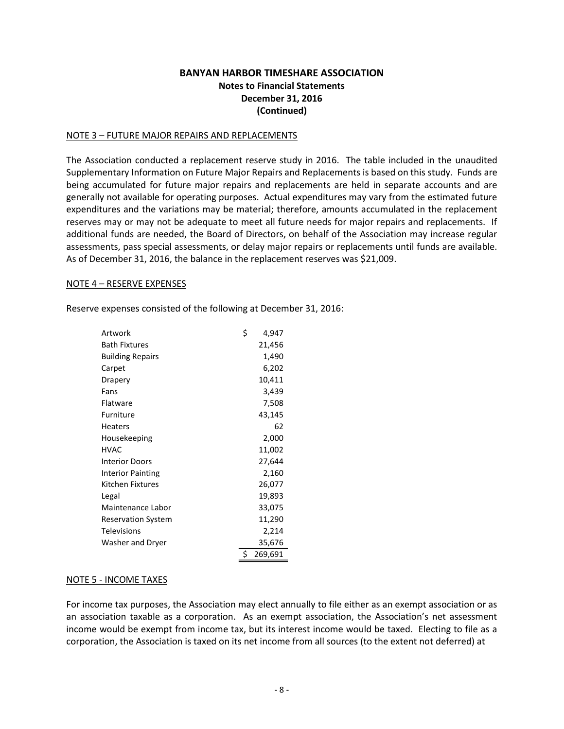## **BANYAN HARBOR TIMESHARE ASSOCIATION Notes to Financial Statements December 31, 2016 (Continued)**

#### NOTE 3 – FUTURE MAJOR REPAIRS AND REPLACEMENTS

The Association conducted a replacement reserve study in 2016. The table included in the unaudited Supplementary Information on Future Major Repairs and Replacements is based on this study. Funds are being accumulated for future major repairs and replacements are held in separate accounts and are generally not available for operating purposes. Actual expenditures may vary from the estimated future expenditures and the variations may be material; therefore, amounts accumulated in the replacement reserves may or may not be adequate to meet all future needs for major repairs and replacements. If additional funds are needed, the Board of Directors, on behalf of the Association may increase regular assessments, pass special assessments, or delay major repairs or replacements until funds are available. As of December 31, 2016, the balance in the replacement reserves was \$21,009.

#### NOTE 4 – RESERVE EXPENSES

Reserve expenses consisted of the following at December 31, 2016:

| Artwork                   | \$ | 4,947   |
|---------------------------|----|---------|
| <b>Bath Fixtures</b>      |    | 21,456  |
| <b>Building Repairs</b>   |    | 1,490   |
| Carpet                    |    | 6,202   |
| Drapery                   |    | 10,411  |
| Fans                      |    | 3,439   |
| Flatware                  |    | 7,508   |
| Furniture                 |    | 43,145  |
| <b>Heaters</b>            |    | 62      |
| Housekeeping              |    | 2,000   |
| <b>HVAC</b>               |    | 11,002  |
| <b>Interior Doors</b>     |    | 27,644  |
| <b>Interior Painting</b>  |    | 2,160   |
| Kitchen Fixtures          |    | 26,077  |
| Legal                     |    | 19,893  |
| Maintenance Labor         |    | 33,075  |
| <b>Reservation System</b> |    | 11,290  |
| <b>Televisions</b>        |    | 2,214   |
| Washer and Dryer          |    | 35,676  |
|                           | Ś. | 269,691 |

#### NOTE 5 - INCOME TAXES

For income tax purposes, the Association may elect annually to file either as an exempt association or as an association taxable as a corporation. As an exempt association, the Association's net assessment income would be exempt from income tax, but its interest income would be taxed. Electing to file as a corporation, the Association is taxed on its net income from all sources (to the extent not deferred) at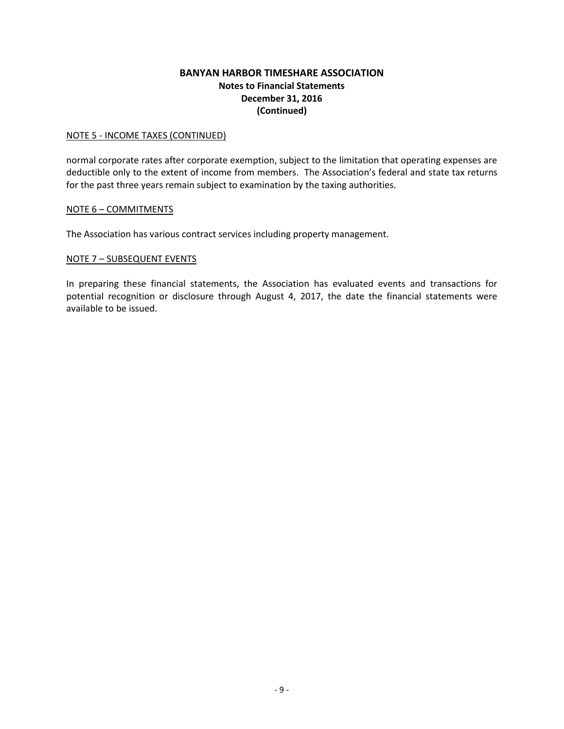## **BANYAN HARBOR TIMESHARE ASSOCIATION Notes to Financial Statements December 31, 2016 (Continued)**

#### NOTE 5 - INCOME TAXES (CONTINUED)

normal corporate rates after corporate exemption, subject to the limitation that operating expenses are deductible only to the extent of income from members. The Association's federal and state tax returns for the past three years remain subject to examination by the taxing authorities.

#### NOTE 6 – COMMITMENTS

The Association has various contract services including property management.

#### NOTE 7 – SUBSEQUENT EVENTS

In preparing these financial statements, the Association has evaluated events and transactions for potential recognition or disclosure through August 4, 2017, the date the financial statements were available to be issued.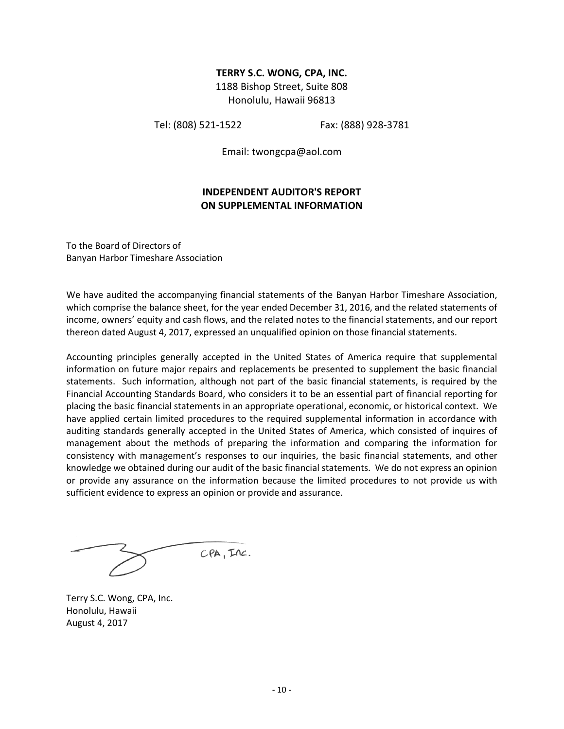#### **TERRY S.C. WONG, CPA, INC.**

1188 Bishop Street, Suite 808 Honolulu, Hawaii 96813

Tel: (808) 521-1522 Fax: (888) 928-3781

Email: twongcpa@aol.com

## **INDEPENDENT AUDITOR'S REPORT ON SUPPLEMENTAL INFORMATION**

To the Board of Directors of Banyan Harbor Timeshare Association

We have audited the accompanying financial statements of the Banyan Harbor Timeshare Association, which comprise the balance sheet, for the year ended December 31, 2016, and the related statements of income, owners' equity and cash flows, and the related notes to the financial statements, and our report thereon dated August 4, 2017, expressed an unqualified opinion on those financial statements.

Accounting principles generally accepted in the United States of America require that supplemental information on future major repairs and replacements be presented to supplement the basic financial statements. Such information, although not part of the basic financial statements, is required by the Financial Accounting Standards Board, who considers it to be an essential part of financial reporting for placing the basic financial statements in an appropriate operational, economic, or historical context. We have applied certain limited procedures to the required supplemental information in accordance with auditing standards generally accepted in the United States of America, which consisted of inquires of management about the methods of preparing the information and comparing the information for consistency with management's responses to our inquiries, the basic financial statements, and other knowledge we obtained during our audit of the basic financial statements. We do not express an opinion or provide any assurance on the information because the limited procedures to not provide us with sufficient evidence to express an opinion or provide and assurance.

 $CPA$ ,  $TAC$ .

Terry S.C. Wong, CPA, Inc. Honolulu, Hawaii August 4, 2017